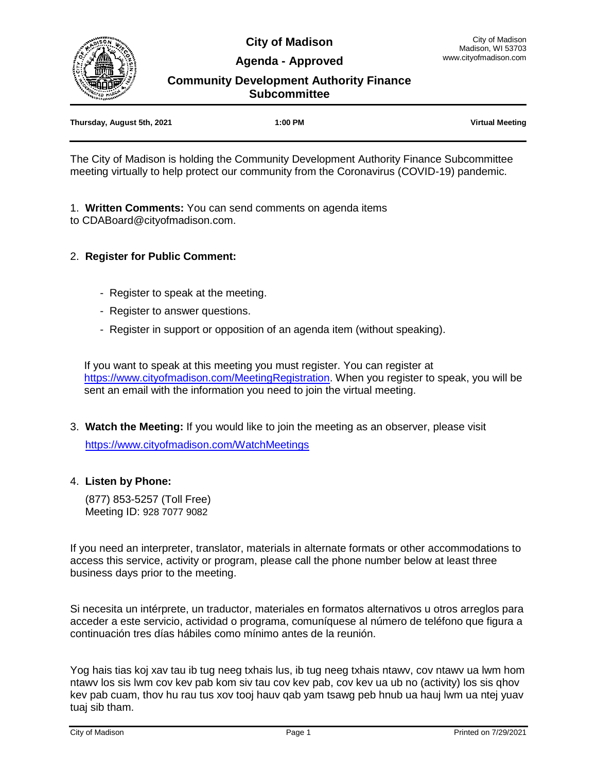**City of Madison Agenda - Approved**



**Community Development Authority Finance Subcommittee**

| Thursday, August 5th, 2021 | 1:00 PM | <b>Virtual Meeting</b> |
|----------------------------|---------|------------------------|
|                            |         |                        |

The City of Madison is holding the Community Development Authority Finance Subcommittee meeting virtually to help protect our community from the Coronavirus (COVID-19) pandemic.

1. **Written Comments:** You can send comments on agenda items to CDABoard@cityofmadison.com.

# 2. **Register for Public Comment:**

- Register to speak at the meeting.
- Register to answer questions.
- Register in support or opposition of an agenda item (without speaking).

If you want to speak at this meeting you must register. You can register at [https://www.cityofmadison.com/MeetingRegistration.](https://www.cityofmadison.com/MeetingRegistration) When you register to speak, you will be sent an email with the information you need to join the virtual meeting.

3. **Watch the Meeting:** If you would like to join the meeting as an observer, please visit

<https://www.cityofmadison.com/WatchMeetings>

#### 4. **Listen by Phone:**

 (877) 853-5257 (Toll Free) Meeting ID: 928 7077 9082

If you need an interpreter, translator, materials in alternate formats or other accommodations to access this service, activity or program, please call the phone number below at least three business days prior to the meeting.

Si necesita un intérprete, un traductor, materiales en formatos alternativos u otros arreglos para acceder a este servicio, actividad o programa, comuníquese al número de teléfono que figura a continuación tres días hábiles como mínimo antes de la reunión.

Yog hais tias koj xav tau ib tug neeg txhais lus, ib tug neeg txhais ntawv, cov ntawv ua lwm hom ntawv los sis lwm cov kev pab kom siv tau cov kev pab, cov kev ua ub no (activity) los sis qhov kev pab cuam, thov hu rau tus xov tooj hauv qab yam tsawg peb hnub ua hauj lwm ua ntej yuav tuaj sib tham.